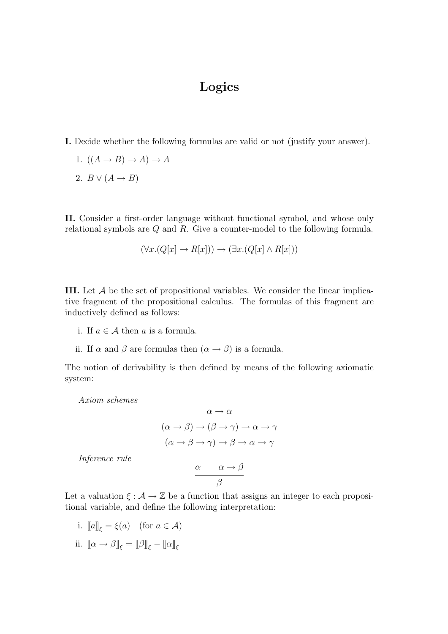## Logics

- I. Decide whether the following formulas are valid or not (justify your answer).
	- 1.  $((A \rightarrow B) \rightarrow A) \rightarrow A$
	- 2.  $B \vee (A \rightarrow B)$

II. Consider a first-order language without functional symbol, and whose only relational symbols are Q and R. Give a counter-model to the following formula.

$$
(\forall x. (Q[x] \to R[x])) \to (\exists x. (Q[x] \land R[x]))
$$

III. Let  $A$  be the set of propositional variables. We consider the linear implicative fragment of the propositional calculus. The formulas of this fragment are inductively defined as follows:

- i. If  $a \in \mathcal{A}$  then a is a formula.
- ii. If  $\alpha$  and  $\beta$  are formulas then  $(\alpha \rightarrow \beta)$  is a formula.

The notion of derivability is then defined by means of the following axiomatic system:

Axiom schemes

$$
\alpha \to \alpha
$$
  

$$
(\alpha \to \beta) \to (\beta \to \gamma) \to \alpha \to \gamma
$$
  

$$
(\alpha \to \beta \to \gamma) \to \beta \to \alpha \to \gamma
$$

Inference rule

$$
\frac{\alpha \qquad \alpha \to \beta}{\beta}
$$

Let a valuation  $\xi : \mathcal{A} \to \mathbb{Z}$  be a function that assigns an integer to each propositional variable, and define the following interpretation:

i.  $[[a]]_{\xi} = \xi(a)$  (for  $a \in \mathcal{A}$ ) ii.  $\llbracket \alpha \to \beta \rrbracket_{\xi} = \llbracket \beta \rrbracket_{\xi} - \llbracket \alpha \rrbracket_{\xi}$